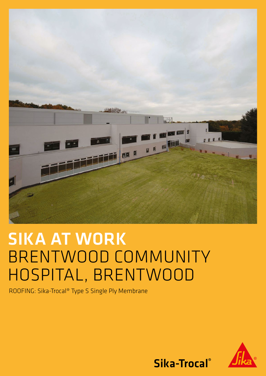

# SIKA AT WORK BRENTWOOD COMMUNITY HOSPITAL, BRENTWOOD

ROOFING: Sika-Trocal® Type S Single Ply Membrane



Sika-Trocal®